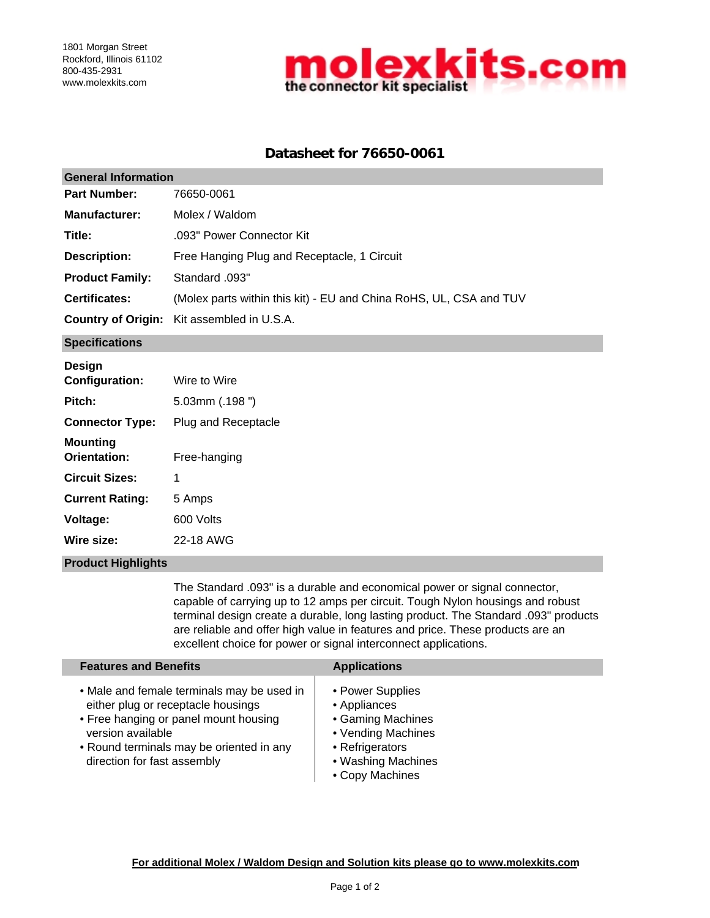

# **Datasheet for 76650-0061**

| <b>General Information</b> |                                                                    |  |  |  |
|----------------------------|--------------------------------------------------------------------|--|--|--|
| <b>Part Number:</b>        | 76650-0061                                                         |  |  |  |
| <b>Manufacturer:</b>       | Molex / Waldom                                                     |  |  |  |
| Title:                     | .093" Power Connector Kit                                          |  |  |  |
| <b>Description:</b>        | Free Hanging Plug and Receptacle, 1 Circuit                        |  |  |  |
| <b>Product Family:</b>     | Standard .093"                                                     |  |  |  |
| <b>Certificates:</b>       | (Molex parts within this kit) - EU and China RoHS, UL, CSA and TUV |  |  |  |
|                            | <b>Country of Origin:</b> Kit assembled in U.S.A.                  |  |  |  |
| <b>Specifications</b>      |                                                                    |  |  |  |

| Design<br><b>Configuration:</b>        | Wire to Wire        |
|----------------------------------------|---------------------|
| Pitch:                                 | $5.03$ mm $(.198")$ |
| <b>Connector Type:</b>                 | Plug and Receptacle |
| <b>Mounting</b><br><b>Orientation:</b> | Free-hanging        |
| <b>Circuit Sizes:</b>                  | 1                   |
| <b>Current Rating:</b>                 | 5 Amps              |
| Voltage:                               | 600 Volts           |
| Wire size:                             | 22-18 AWG           |

### **Product Highlights**

The Standard .093" is a durable and economical power or signal connector, capable of carrying up to 12 amps per circuit. Tough Nylon housings and robust terminal design create a durable, long lasting product. The Standard .093" products are reliable and offer high value in features and price. These products are an excellent choice for power or signal interconnect applications.

| <b>Features and Benefits</b>                                                                                                                                                                                              | <b>Applications</b>                                                                                                                     |
|---------------------------------------------------------------------------------------------------------------------------------------------------------------------------------------------------------------------------|-----------------------------------------------------------------------------------------------------------------------------------------|
| • Male and female terminals may be used in<br>either plug or receptacle housings<br>• Free hanging or panel mount housing<br>version available<br>• Round terminals may be oriented in any<br>direction for fast assembly | • Power Supplies<br>• Appliances<br>• Gaming Machines<br>• Vending Machines<br>• Refrigerators<br>• Washing Machines<br>• Copy Machines |